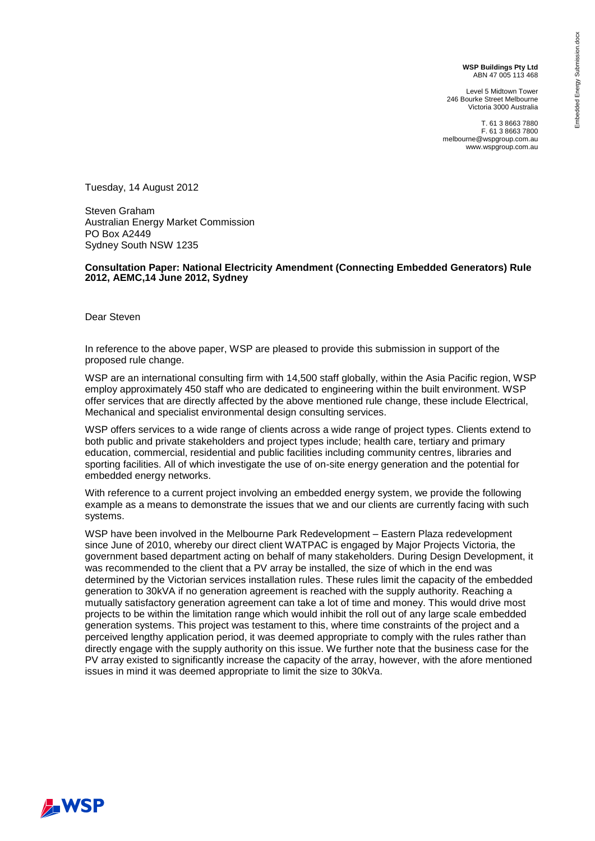**WSP Buildings Pty Ltd** ABN 47 005 113 468

Level 5 Midtown Tower 246 Bourke Street Melbourne Victoria 3000 Australia

T. 61 3 8663 7880 F. 61 3 8663 7800 melbourne@wspgroup.com.au www.wspgroup.com.au

Tuesday, 14 August 2012

Steven Graham Australian Energy Market Commission PO Box A2449 Sydney South NSW 1235

## **Consultation Paper: National Electricity Amendment (Connecting Embedded Generators) Rule 2012, AEMC,14 June 2012, Sydney**

Dear Steven

In reference to the above paper, WSP are pleased to provide this submission in support of the proposed rule change.

WSP are an international consulting firm with 14,500 staff globally, within the Asia Pacific region, WSP employ approximately 450 staff who are dedicated to engineering within the built environment. WSP offer services that are directly affected by the above mentioned rule change, these include Electrical, Mechanical and specialist environmental design consulting services.

WSP offers services to a wide range of clients across a wide range of project types. Clients extend to both public and private stakeholders and project types include; health care, tertiary and primary education, commercial, residential and public facilities including community centres, libraries and sporting facilities. All of which investigate the use of on-site energy generation and the potential for embedded energy networks.

With reference to a current project involving an embedded energy system, we provide the following example as a means to demonstrate the issues that we and our clients are currently facing with such systems.

WSP have been involved in the Melbourne Park Redevelopment – Eastern Plaza redevelopment since June of 2010, whereby our direct client WATPAC is engaged by Major Projects Victoria, the government based department acting on behalf of many stakeholders. During Design Development, it was recommended to the client that a PV array be installed, the size of which in the end was determined by the Victorian services installation rules. These rules limit the capacity of the embedded generation to 30kVA if no generation agreement is reached with the supply authority. Reaching a mutually satisfactory generation agreement can take a lot of time and money. This would drive most projects to be within the limitation range which would inhibit the roll out of any large scale embedded generation systems. This project was testament to this, where time constraints of the project and a perceived lengthy application period, it was deemed appropriate to comply with the rules rather than directly engage with the supply authority on this issue. We further note that the business case for the PV array existed to significantly increase the capacity of the array, however, with the afore mentioned issues in mind it was deemed appropriate to limit the size to 30kVa.